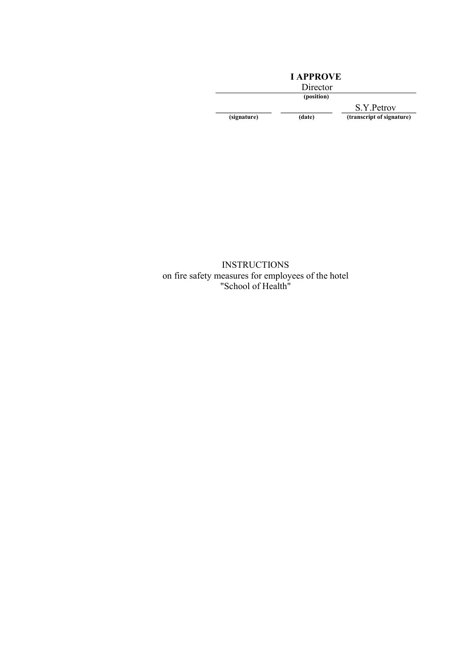## I APPROVE

Director

(position)

S.Y.Petrov (signature) (date) (transcript of signature)

INSTRUCTIONS on fire safety measures for employees of the hotel "School of Health"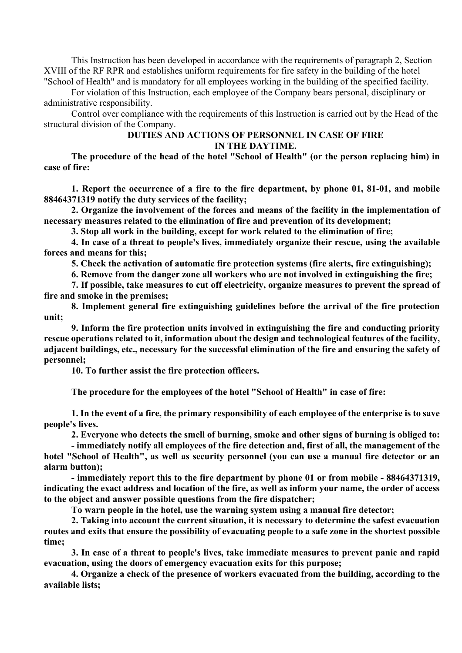This Instruction has been developed in accordance with the requirements of paragraph 2, Section XVIII of the RF RPR and establishes uniform requirements for fire safety in the building of the hotel "School of Health" and is mandatory for all employees working in the building of the specified facility.

For violation of this Instruction, each employee of the Company bears personal, disciplinary or administrative responsibility.

Control over compliance with the requirements of this Instruction is carried out by the Head of the structural division of the Company.

## DUTIES AND ACTIONS OF PERSONNEL IN CASE OF FIRE IN THE DAYTIME.

The procedure of the head of the hotel "School of Health" (or the person replacing him) in case of fire:

1. Report the occurrence of a fire to the fire department, by phone 01, 81-01, and mobile 88464371319 notify the duty services of the facility;

2. Organize the involvement of the forces and means of the facility in the implementation of necessary measures related to the elimination of fire and prevention of its development;

3. Stop all work in the building, except for work related to the elimination of fire;

4. In case of a threat to people's lives, immediately organize their rescue, using the available forces and means for this;

5. Check the activation of automatic fire protection systems (fire alerts, fire extinguishing);

6. Remove from the danger zone all workers who are not involved in extinguishing the fire;

7. If possible, take measures to cut off electricity, organize measures to prevent the spread of fire and smoke in the premises;

8. Implement general fire extinguishing guidelines before the arrival of the fire protection unit;

9. Inform the fire protection units involved in extinguishing the fire and conducting priority rescue operations related to it, information about the design and technological features of the facility, adjacent buildings, etc., necessary for the successful elimination of the fire and ensuring the safety of personnel;

10. To further assist the fire protection officers.

The procedure for the employees of the hotel "School of Health" in case of fire:

1. In the event of a fire, the primary responsibility of each employee of the enterprise is to save people's lives.

2. Everyone who detects the smell of burning, smoke and other signs of burning is obliged to:

- immediately notify all employees of the fire detection and, first of all, the management of the hotel "School of Health", as well as security personnel (you can use a manual fire detector or an alarm button);

- immediately report this to the fire department by phone 01 or from mobile - 88464371319, indicating the exact address and location of the fire, as well as inform your name, the order of access to the object and answer possible questions from the fire dispatcher;

To warn people in the hotel, use the warning system using a manual fire detector;

2. Taking into account the current situation, it is necessary to determine the safest evacuation routes and exits that ensure the possibility of evacuating people to a safe zone in the shortest possible time;

3. In case of a threat to people's lives, take immediate measures to prevent panic and rapid evacuation, using the doors of emergency evacuation exits for this purpose;

4. Organize a check of the presence of workers evacuated from the building, according to the available lists;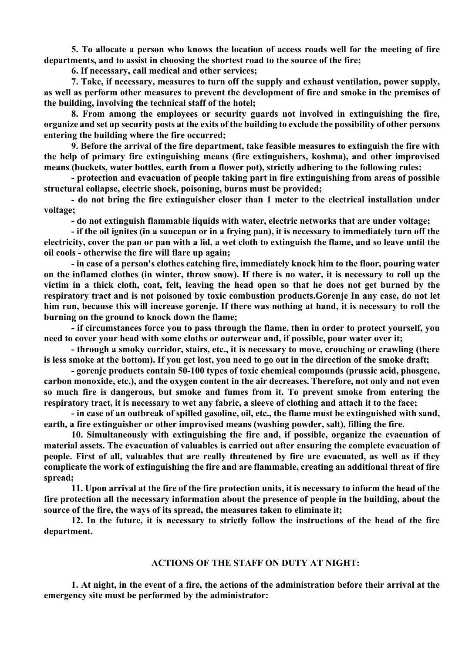5. To allocate a person who knows the location of access roads well for the meeting of fire departments, and to assist in choosing the shortest road to the source of the fire;

6. If necessary, call medical and other services;

7. Take, if necessary, measures to turn off the supply and exhaust ventilation, power supply, as well as perform other measures to prevent the development of fire and smoke in the premises of the building, involving the technical staff of the hotel;

8. From among the employees or security guards not involved in extinguishing the fire, organize and set up security posts at the exits of the building to exclude the possibility of other persons entering the building where the fire occurred;

9. Before the arrival of the fire department, take feasible measures to extinguish the fire with the help of primary fire extinguishing means (fire extinguishers, koshma), and other improvised means (buckets, water bottles, earth from a flower pot), strictly adhering to the following rules:

- protection and evacuation of people taking part in fire extinguishing from areas of possible structural collapse, electric shock, poisoning, burns must be provided;

- do not bring the fire extinguisher closer than 1 meter to the electrical installation under voltage;

- do not extinguish flammable liquids with water, electric networks that are under voltage;

- if the oil ignites (in a saucepan or in a frying pan), it is necessary to immediately turn off the electricity, cover the pan or pan with a lid, a wet cloth to extinguish the flame, and so leave until the oil cools - otherwise the fire will flare up again;

- in case of a person's clothes catching fire, immediately knock him to the floor, pouring water on the inflamed clothes (in winter, throw snow). If there is no water, it is necessary to roll up the victim in a thick cloth, coat, felt, leaving the head open so that he does not get burned by the respiratory tract and is not poisoned by toxic combustion products.Gorenje In any case, do not let him run, because this will increase gorenje. If there was nothing at hand, it is necessary to roll the burning on the ground to knock down the flame;

- if circumstances force you to pass through the flame, then in order to protect yourself, you need to cover your head with some cloths or outerwear and, if possible, pour water over it;

- through a smoky corridor, stairs, etc., it is necessary to move, crouching or crawling (there is less smoke at the bottom). If you get lost, you need to go out in the direction of the smoke draft;

- gorenje products contain 50-100 types of toxic chemical compounds (prussic acid, phosgene, carbon monoxide, etc.), and the oxygen content in the air decreases. Therefore, not only and not even so much fire is dangerous, but smoke and fumes from it. To prevent smoke from entering the respiratory tract, it is necessary to wet any fabric, a sleeve of clothing and attach it to the face;

- in case of an outbreak of spilled gasoline, oil, etc., the flame must be extinguished with sand, earth, a fire extinguisher or other improvised means (washing powder, salt), filling the fire.

10. Simultaneously with extinguishing the fire and, if possible, organize the evacuation of material assets. The evacuation of valuables is carried out after ensuring the complete evacuation of people. First of all, valuables that are really threatened by fire are evacuated, as well as if they complicate the work of extinguishing the fire and are flammable, creating an additional threat of fire spread;

11. Upon arrival at the fire of the fire protection units, it is necessary to inform the head of the fire protection all the necessary information about the presence of people in the building, about the source of the fire, the ways of its spread, the measures taken to eliminate it;

12. In the future, it is necessary to strictly follow the instructions of the head of the fire department.

## ACTIONS OF THE STAFF ON DUTY AT NIGHT:

1. At night, in the event of a fire, the actions of the administration before their arrival at the emergency site must be performed by the administrator: